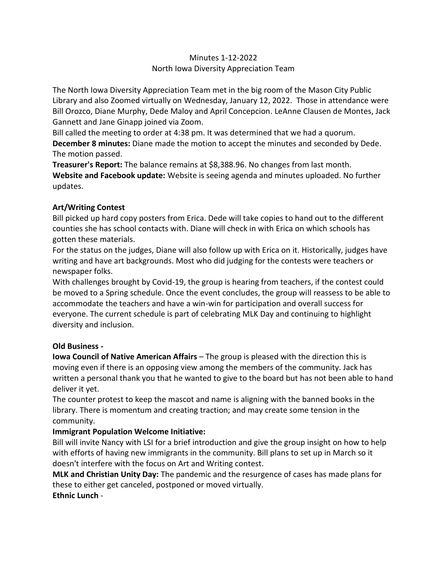## Minutes 1-12-2022 North Iowa Diversity Appreciation Team

The North Iowa Diversity Appreciation Team met in the big room of the Mason City Public Library and also Zoomed virtually on Wednesday, January 12, 2022. Those in attendance were Bill Orozco, Diane Murphy, Dede Maloy and April Concepcion. LeAnne Clausen de Montes, Jack Gannett and Jane Ginapp joined via Zoom.

Bill called the meeting to order at 4:38 pm. It was determined that we had a quorum.

**December 8 minutes:** Diane made the motion to accept the minutes and seconded by Dede. The motion passed.

**Treasurer's Report:** The balance remains at \$8,388.96. No changes from last month. **Website and Facebook update:** Website is seeing agenda and minutes uploaded. No further updates.

## **Art/Writing Contest**

Bill picked up hard copy posters from Erica. Dede will take copies to hand out to the different counties she has school contacts with. Diane will check in with Erica on which schools has gotten these materials.

For the status on the judges, Diane will also follow up with Erica on it. Historically, judges have writing and have art backgrounds. Most who did judging for the contests were teachers or newspaper folks.

With challenges brought by Covid-19, the group is hearing from teachers, if the contest could be moved to a Spring schedule. Once the event concludes, the group will reassess to be able to accommodate the teachers and have a win-win for participation and overall success for everyone. The current schedule is part of celebrating MLK Day and continuing to highlight diversity and inclusion.

## **Old Business -**

**Iowa Council of Native American Affairs** – The group is pleased with the direction this is moving even if there is an opposing view among the members of the community. Jack has written a personal thank you that he wanted to give to the board but has not been able to hand deliver it yet.

The counter protest to keep the mascot and name is aligning with the banned books in the library. There is momentum and creating traction; and may create some tension in the community.

## **Immigrant Population Welcome Initiative:**

Bill will invite Nancy with LSI for a brief introduction and give the group insight on how to help with efforts of having new immigrants in the community. Bill plans to set up in March so it doesn't interfere with the focus on Art and Writing contest.

**MLK and Christian Unity Day:** The pandemic and the resurgence of cases has made plans for these to either get canceled, postponed or moved virtually. **Ethnic Lunch** -